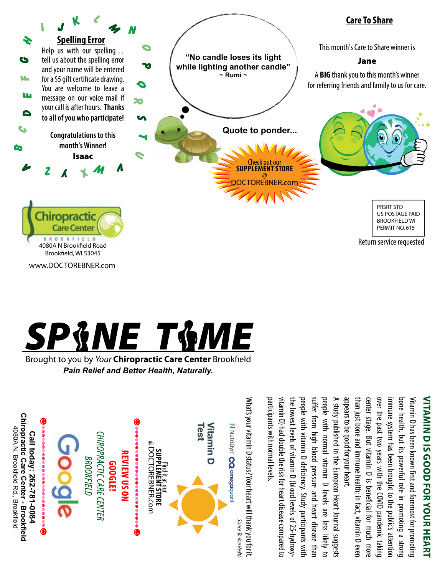

www.DOCTOREBNER.com



Brought to you by *Your* Chiropractic Care Center Brookfield *Pain Relief and Better Health, Naturally.*



# **Vitamin D Is Goo NITAMIN D IS GOOD FOR YOUR HEART d for Your Heart**

appears to be good for your heart. appears to be good for your heart. than just bone and immune health; in fact, vitamin D even center stage. But vitamin D is beneficial for much more center stage. But vitamin D is beneficial for much more over the past two years with the COVID pandemic taking over the past two years with the COVID pandemic taking immune system has been brought to the public's attention bone health, but its powerful role in promoting a strong Vitamin D has been known first and foremost for promoting than just bone and immune health; in fact, vitamin D even mmune system has been brought to the public's attention bone health, but its powerful role in promoting a strong Vitamin D has been known first and foremost for promoting

A study published in the European Heart Journal suggests participants with normal levels. vitamin D) had double the risk for heart disease compared to the lowest levels of vitamin D (blood levels of 25-hydroxypeople with vitamin D deficiency. Study participants with suffer from high blood pressure and heart disease than suffer from high blood pressure and heart disease than people with normal vitamin D levels are less likely to people with normal vitamin D levels are less likely to A study published in the European Heart Journal suggests participants with normal levels itamin D) had double the risk for heart disease compared to he lowest levels of vitamin D (blood levels of 25-hydroxybeople with vitamin D deficiency. Study participants with